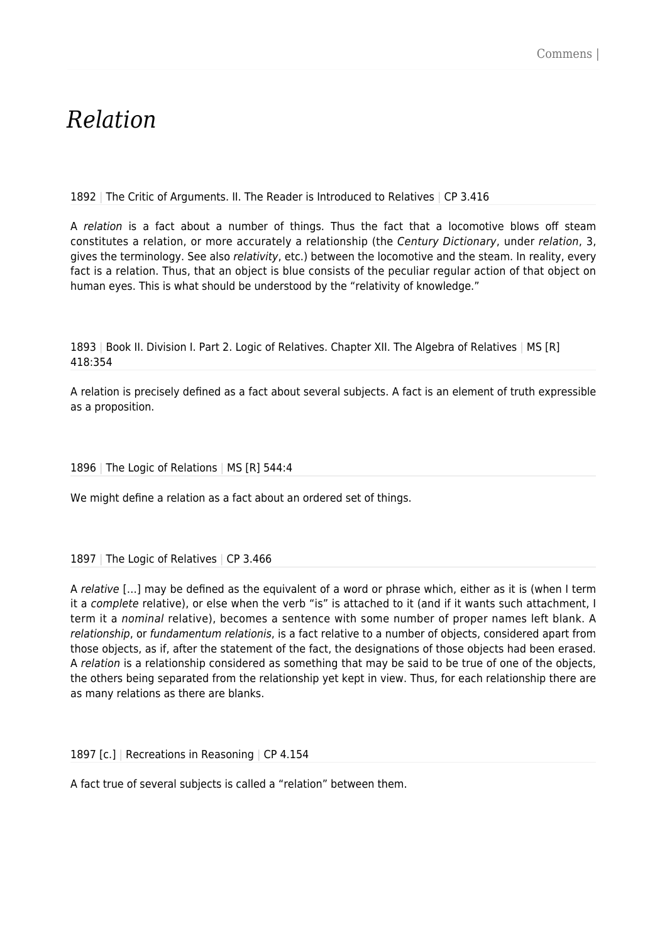# *Relation*

1892 | The Critic of Arguments. II. The Reader is Introduced to Relatives | CP 3.416

A relation is a fact about a number of things. Thus the fact that a locomotive blows off steam constitutes a relation, or more accurately a relationship (the Century Dictionary, under relation, 3, gives the terminology. See also relativity, etc.) between the locomotive and the steam. In reality, every fact is a relation. Thus, that an object is blue consists of the peculiar regular action of that object on human eyes. This is what should be understood by the "relativity of knowledge."

1893 | Book II. Division I. Part 2. Logic of Relatives. Chapter XII. The Algebra of Relatives | MS [R] 418:354

A relation is precisely defined as a fact about several subjects. A fact is an element of truth expressible as a proposition.

1896 | The Logic of Relations | MS [R] 544:4

We might define a relation as a fact about an ordered set of things.

1897 | The Logic of Relatives | CP 3.466

A relative […] may be defined as the equivalent of a word or phrase which, either as it is (when I term it a complete relative), or else when the verb "is" is attached to it (and if it wants such attachment, I term it a nominal relative), becomes a sentence with some number of proper names left blank. A relationship, or fundamentum relationis, is a fact relative to a number of objects, considered apart from those objects, as if, after the statement of the fact, the designations of those objects had been erased. A relation is a relationship considered as something that may be said to be true of one of the objects, the others being separated from the relationship yet kept in view. Thus, for each relationship there are as many relations as there are blanks.

1897 [c.] | Recreations in Reasoning | CP 4.154

A fact true of several subjects is called a "relation" between them.